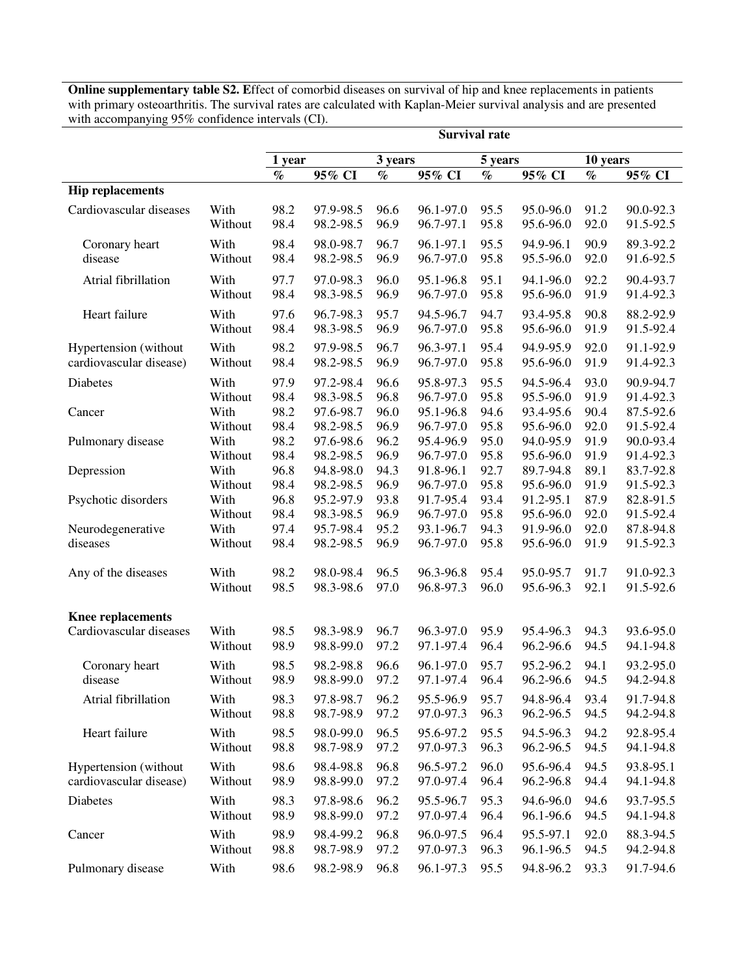**Online supplementary table S2. E**ffect of comorbid diseases on survival of hip and knee replacements in patients with primary osteoarthritis. The survival rates are calculated with Kaplan-Meier survival analysis and are presented with accompanying 95% confidence intervals (CI).

|                                          |                         | <b>Survival rate</b> |                                     |                      |                                     |                      |                                     |                      |                                     |  |
|------------------------------------------|-------------------------|----------------------|-------------------------------------|----------------------|-------------------------------------|----------------------|-------------------------------------|----------------------|-------------------------------------|--|
|                                          |                         | 1 year               | 3 years                             |                      | 5 years                             |                      | 10 years                            |                      |                                     |  |
|                                          |                         | $\%$                 | 95% CI                              | $\%$                 | 95% CI                              | $\%$                 | 95% CI                              | $\%$                 | 95% CI                              |  |
| <b>Hip replacements</b>                  |                         |                      |                                     |                      |                                     |                      |                                     |                      |                                     |  |
| Cardiovascular diseases                  | With                    | 98.2                 | 97.9-98.5                           | 96.6                 | 96.1-97.0                           | 95.5                 | 95.0-96.0                           | 91.2                 | 90.0-92.3                           |  |
|                                          | Without                 | 98.4                 | 98.2-98.5                           | 96.9                 | 96.7-97.1                           | 95.8                 | 95.6-96.0                           | 92.0                 | 91.5-92.5                           |  |
| Coronary heart                           | With                    | 98.4                 | 98.0-98.7                           | 96.7                 | 96.1-97.1                           | 95.5                 | 94.9-96.1                           | 90.9                 | 89.3-92.2                           |  |
| disease                                  | Without                 | 98.4                 | 98.2-98.5                           | 96.9                 | 96.7-97.0                           | 95.8                 | 95.5-96.0                           | 92.0                 | 91.6-92.5                           |  |
| Atrial fibrillation                      | With                    | 97.7                 | 97.0-98.3                           | 96.0                 | 95.1-96.8                           | 95.1                 | 94.1-96.0                           | 92.2                 | 90.4-93.7                           |  |
|                                          | Without                 | 98.4                 | 98.3-98.5                           | 96.9                 | 96.7-97.0                           | 95.8                 | 95.6-96.0                           | 91.9                 | 91.4-92.3                           |  |
| Heart failure                            | With                    | 97.6                 | 96.7-98.3                           | 95.7                 | 94.5-96.7                           | 94.7                 | 93.4-95.8                           | 90.8                 | 88.2-92.9                           |  |
|                                          | Without                 | 98.4                 | 98.3-98.5                           | 96.9                 | 96.7-97.0                           | 95.8                 | 95.6-96.0                           | 91.9                 | 91.5-92.4                           |  |
| Hypertension (without                    | With                    | 98.2                 | 97.9-98.5                           | 96.7                 | 96.3-97.1                           | 95.4                 | 94.9-95.9                           | 92.0                 | 91.1-92.9                           |  |
| cardiovascular disease)                  | Without                 | 98.4                 | 98.2-98.5                           | 96.9                 | 96.7-97.0                           | 95.8                 | 95.6-96.0                           | 91.9                 | 91.4-92.3                           |  |
| Diabetes                                 | With                    | 97.9                 | 97.2-98.4                           | 96.6                 | 95.8-97.3                           | 95.5                 | 94.5-96.4                           | 93.0                 | 90.9-94.7                           |  |
|                                          | Without                 | 98.4                 | 98.3-98.5                           | 96.8                 | 96.7-97.0                           | 95.8                 | 95.5-96.0                           | 91.9                 | 91.4-92.3                           |  |
| Cancer                                   | With                    | 98.2                 | 97.6-98.7                           | 96.0                 | 95.1-96.8                           | 94.6                 | 93.4-95.6                           | 90.4                 | 87.5-92.6                           |  |
|                                          | Without                 | 98.4                 | 98.2-98.5                           | 96.9                 | 96.7-97.0                           | 95.8                 | 95.6-96.0                           | 92.0                 | 91.5-92.4                           |  |
| Pulmonary disease                        | With                    | 98.2                 | 97.6-98.6                           | 96.2                 | 95.4-96.9                           | 95.0                 | 94.0-95.9                           | 91.9                 | 90.0-93.4                           |  |
|                                          | Without                 | 98.4                 | 98.2-98.5                           | 96.9                 | 96.7-97.0                           | 95.8                 | 95.6-96.0                           | 91.9                 | 91.4-92.3                           |  |
| Depression                               | With                    | 96.8                 | 94.8-98.0                           | 94.3                 | 91.8-96.1                           | 92.7                 | 89.7-94.8                           | 89.1                 | 83.7-92.8                           |  |
|                                          | Without                 | 98.4                 | 98.2-98.5                           | 96.9                 | 96.7-97.0                           | 95.8                 | 95.6-96.0                           | 91.9                 | 91.5-92.3                           |  |
| Psychotic disorders<br>Neurodegenerative | With<br>Without<br>With | 96.8<br>98.4<br>97.4 | 95.2-97.9<br>98.3-98.5<br>95.7-98.4 | 93.8<br>96.9<br>95.2 | 91.7-95.4<br>96.7-97.0<br>93.1-96.7 | 93.4<br>95.8<br>94.3 | 91.2-95.1<br>95.6-96.0<br>91.9-96.0 | 87.9<br>92.0<br>92.0 | 82.8-91.5<br>91.5-92.4<br>87.8-94.8 |  |
| diseases                                 | Without                 | 98.4                 | 98.2-98.5                           | 96.9                 | 96.7-97.0                           | 95.8                 | 95.6-96.0                           | 91.9                 | 91.5-92.3                           |  |
| Any of the diseases                      | With                    | 98.2                 | 98.0-98.4                           | 96.5                 | 96.3-96.8                           | 95.4                 | 95.0-95.7                           | 91.7                 | 91.0-92.3                           |  |
|                                          | Without                 | 98.5                 | 98.3-98.6                           | 97.0                 | 96.8-97.3                           | 96.0                 | 95.6-96.3                           | 92.1                 | 91.5-92.6                           |  |
| <b>Knee replacements</b>                 |                         |                      |                                     |                      |                                     |                      |                                     |                      |                                     |  |
| Cardiovascular diseases                  | With                    | 98.5                 | 98.3-98.9                           | 96.7                 | 96.3-97.0                           | 95.9                 | 95.4-96.3                           | 94.3                 | 93.6-95.0                           |  |
|                                          | Without                 | 98.9                 | 98.8-99.0                           | 97.2                 | 97.1-97.4                           | 96.4                 | 96.2-96.6                           | 94.5                 | 94.1-94.8                           |  |
| Coronary heart                           | With                    | 98.5                 | 98.2-98.8                           | 96.6                 | 96.1-97.0                           | 95.7                 | 95.2-96.2                           | 94.1                 | 93.2-95.0                           |  |
| disease                                  | Without                 | 98.9                 | 98.8-99.0                           | 97.2                 | 97.1-97.4                           | 96.4                 | 96.2-96.6                           | 94.5                 | 94.2-94.8                           |  |
| Atrial fibrillation                      | With                    | 98.3                 | 97.8-98.7                           | 96.2                 | 95.5-96.9                           | 95.7                 | 94.8-96.4                           | 93.4                 | 91.7-94.8                           |  |
|                                          | Without                 | 98.8                 | 98.7-98.9                           | 97.2                 | 97.0-97.3                           | 96.3                 | 96.2-96.5                           | 94.5                 | 94.2-94.8                           |  |
| Heart failure                            | With                    | 98.5                 | 98.0-99.0                           | 96.5                 | 95.6-97.2                           | 95.5                 | 94.5-96.3                           | 94.2                 | 92.8-95.4                           |  |
|                                          | Without                 | 98.8                 | 98.7-98.9                           | 97.2                 | 97.0-97.3                           | 96.3                 | 96.2-96.5                           | 94.5                 | 94.1-94.8                           |  |
| Hypertension (without                    | With                    | 98.6                 | 98.4-98.8                           | 96.8                 | 96.5-97.2                           | 96.0                 | 95.6-96.4                           | 94.5                 | 93.8-95.1                           |  |
| cardiovascular disease)                  | Without                 | 98.9                 | 98.8-99.0                           | 97.2                 | 97.0-97.4                           | 96.4                 | 96.2-96.8                           | 94.4                 | 94.1-94.8                           |  |
| Diabetes                                 | With                    | 98.3                 | 97.8-98.6                           | 96.2                 | 95.5-96.7                           | 95.3                 | 94.6-96.0                           | 94.6                 | 93.7-95.5                           |  |
|                                          | Without                 | 98.9                 | 98.8-99.0                           | 97.2                 | 97.0-97.4                           | 96.4                 | 96.1-96.6                           | 94.5                 | 94.1-94.8                           |  |
| Cancer                                   | With                    | 98.9                 | 98.4-99.2                           | 96.8                 | 96.0-97.5                           | 96.4                 | 95.5-97.1                           | 92.0                 | 88.3-94.5                           |  |
|                                          | Without                 | 98.8                 | 98.7-98.9                           | 97.2                 | 97.0-97.3                           | 96.3                 | 96.1-96.5                           | 94.5                 | 94.2-94.8                           |  |
| Pulmonary disease                        | With                    | 98.6                 | 98.2-98.9                           | 96.8                 | 96.1-97.3                           | 95.5                 | 94.8-96.2                           | 93.3                 | 91.7-94.6                           |  |